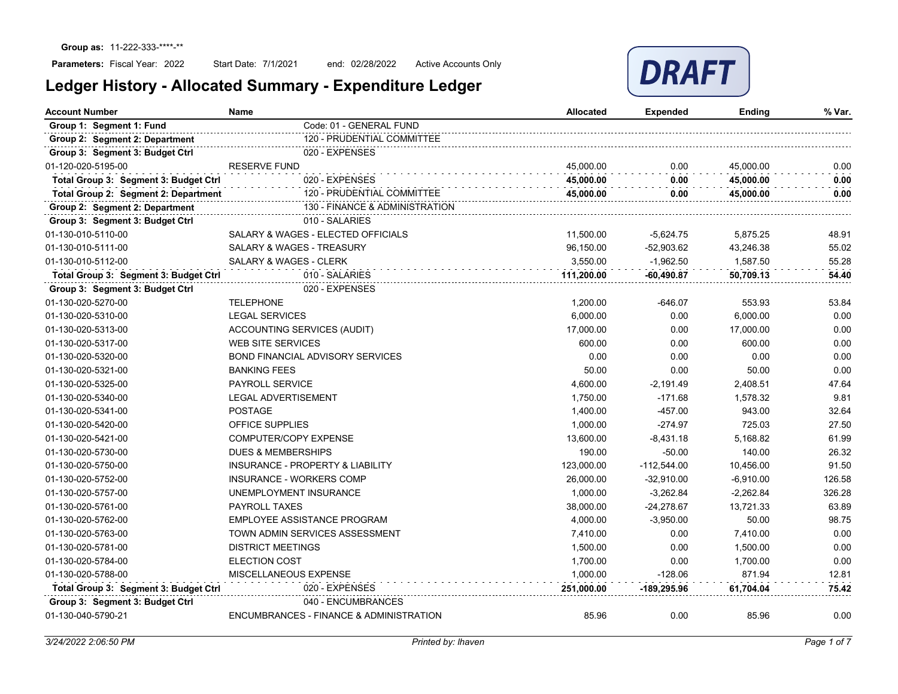Start Date: 7/1/2021 end: 02/28/2022 Active Accounts Only



| <b>Account Number</b><br><b>Name</b>                               |                                             | <b>Allocated</b> | Expended      | <b>Ending</b> | % Var. |
|--------------------------------------------------------------------|---------------------------------------------|------------------|---------------|---------------|--------|
| Code: 01 - GENERAL FUND<br>Group 1: Segment 1: Fund                |                                             |                  |               |               |        |
| Group 2: Segment 2: Department                                     | 120 - PRUDENTIAL COMMITTEE                  |                  |               |               |        |
| Group 3: Segment 3: Budget Ctrl                                    | 020 - EXPENSES                              |                  |               |               |        |
| 01-120-020-5195-00                                                 | <b>RESERVE FUND</b>                         | 45,000.00        | 0.00          | 45,000.00     | 0.00   |
| Total Group 3: Segment 3: Budget Ctrl                              | 020 - EXPENSES                              | 45,000.00        | 0.00          | 45,000.00     | 0.00   |
| 120 - PRUDENTIAL COMMITTEE<br>Total Group 2: Segment 2: Department |                                             | 45,000.00        | 0.00          | 45,000.00     | 0.00   |
| 130 - FINANCE & ADMINISTRATION<br>Group 2: Segment 2: Department   |                                             |                  |               |               |        |
| Group 3: Segment 3: Budget Ctrl                                    | 010 - SALARIES                              |                  |               |               |        |
| 01-130-010-5110-00                                                 | SALARY & WAGES - ELECTED OFFICIALS          | 11,500.00        | $-5,624.75$   | 5,875.25      | 48.91  |
| 01-130-010-5111-00                                                 | SALARY & WAGES - TREASURY                   | 96,150.00        | $-52,903.62$  | 43,246.38     | 55.02  |
| 01-130-010-5112-00                                                 | SALARY & WAGES - CLERK                      | 3,550.00         | $-1,962.50$   | 1,587.50      | 55.28  |
| Total Group 3: Segment 3: Budget Ctrl                              | 010 - SALARIES                              | 111,200.00       | $-60,490.87$  | 50,709.13     | 54.40  |
| Group 3: Segment 3: Budget Ctrl                                    | 020 - EXPENSES                              |                  |               |               |        |
| 01-130-020-5270-00                                                 | <b>TELEPHONE</b>                            | 1.200.00         | $-646.07$     | 553.93        | 53.84  |
| 01-130-020-5310-00                                                 | <b>LEGAL SERVICES</b>                       | 6,000.00         | 0.00          | 6,000.00      | 0.00   |
| 01-130-020-5313-00                                                 | <b>ACCOUNTING SERVICES (AUDIT)</b>          | 17,000.00        | 0.00          | 17.000.00     | 0.00   |
| 01-130-020-5317-00                                                 | <b>WEB SITE SERVICES</b>                    | 600.00           | 0.00          | 600.00        | 0.00   |
| 01-130-020-5320-00                                                 | BOND FINANCIAL ADVISORY SERVICES            | 0.00             | 0.00          | 0.00          | 0.00   |
| 01-130-020-5321-00                                                 | <b>BANKING FEES</b>                         | 50.00            | 0.00          | 50.00         | 0.00   |
| 01-130-020-5325-00                                                 | <b>PAYROLL SERVICE</b>                      | 4.600.00         | $-2,191.49$   | 2,408.51      | 47.64  |
| 01-130-020-5340-00                                                 | <b>LEGAL ADVERTISEMENT</b>                  | 1,750.00         | $-171.68$     | 1,578.32      | 9.81   |
| 01-130-020-5341-00                                                 | <b>POSTAGE</b>                              | 1,400.00         | $-457.00$     | 943.00        | 32.64  |
| 01-130-020-5420-00                                                 | <b>OFFICE SUPPLIES</b>                      | 1,000.00         | $-274.97$     | 725.03        | 27.50  |
| 01-130-020-5421-00                                                 | COMPUTER/COPY EXPENSE                       | 13,600.00        | $-8,431.18$   | 5,168.82      | 61.99  |
| 01-130-020-5730-00                                                 | <b>DUES &amp; MEMBERSHIPS</b>               | 190.00           | $-50.00$      | 140.00        | 26.32  |
| 01-130-020-5750-00                                                 | <b>INSURANCE - PROPERTY &amp; LIABILITY</b> | 123,000.00       | $-112,544.00$ | 10,456.00     | 91.50  |
| 01-130-020-5752-00                                                 | <b>INSURANCE - WORKERS COMP</b>             | 26,000.00        | $-32,910.00$  | $-6,910.00$   | 126.58 |
| 01-130-020-5757-00                                                 | UNEMPLOYMENT INSURANCE                      | 1,000.00         | $-3,262.84$   | $-2,262.84$   | 326.28 |
| 01-130-020-5761-00                                                 | <b>PAYROLL TAXES</b>                        | 38,000.00        | $-24,278.67$  | 13,721.33     | 63.89  |
| 01-130-020-5762-00                                                 | EMPLOYEE ASSISTANCE PROGRAM                 | 4,000.00         | $-3,950.00$   | 50.00         | 98.75  |
| 01-130-020-5763-00                                                 | TOWN ADMIN SERVICES ASSESSMENT              | 7,410.00         | 0.00          | 7,410.00      | 0.00   |
| 01-130-020-5781-00                                                 | <b>DISTRICT MEETINGS</b>                    | 1,500.00         | 0.00          | 1,500.00      | 0.00   |
| 01-130-020-5784-00                                                 | <b>ELECTION COST</b>                        | 1,700.00         | 0.00          | 1,700.00      | 0.00   |
| 01-130-020-5788-00                                                 | MISCELLANEOUS EXPENSE                       | 1,000.00         | $-128.06$     | 871.94        | 12.81  |
| Total Group 3: Segment 3: Budget Ctrl                              | 020 - EXPENSES                              | 251,000.00       | -189,295.96   | 61,704.04     | 75.42  |
| Group 3: Segment 3: Budget Ctrl                                    | 040 - ENCUMBRANCES                          |                  |               |               |        |
| 01-130-040-5790-21                                                 | ENCUMBRANCES - FINANCE & ADMINISTRATION     | 85.96            | 0.00          | 85.96         | 0.00   |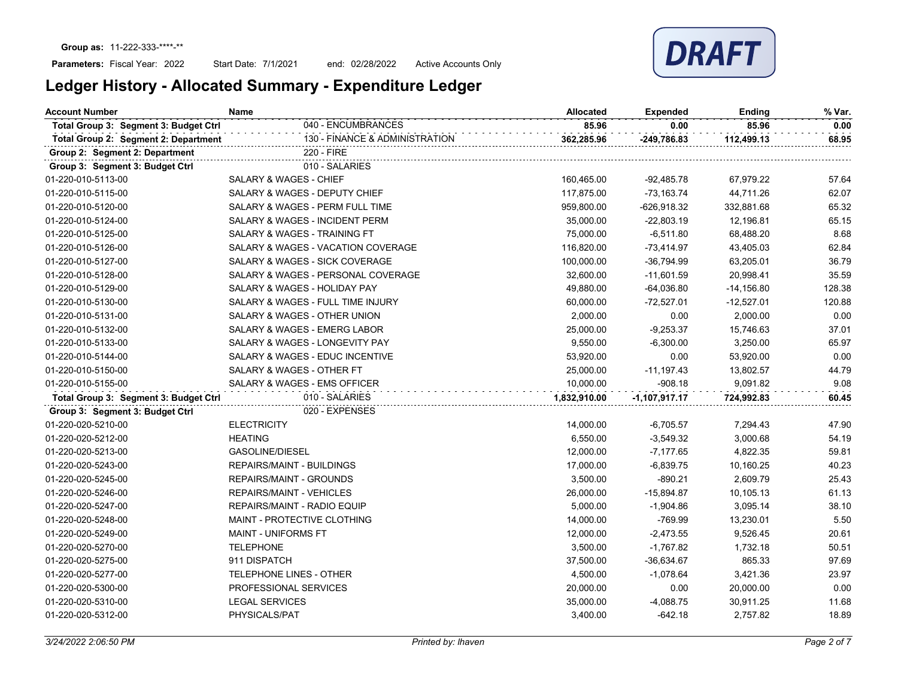Start Date: 7/1/2021 end: 02/28/2022 Active Accounts Only

| <b>Account Number</b><br>Name                      |                                    | <b>Allocated</b> | <b>Expended</b> | Ending       | % Var. |
|----------------------------------------------------|------------------------------------|------------------|-----------------|--------------|--------|
| Total Group 3: Segment 3: Budget Ctrl              | 040 - ENCUMBRANCES                 | 85.96            | 0.00            | 85.96        | 0.00   |
| Total Group 2: Segment 2: Department               | 130 - FINANCE & ADMINISTRATION     | 362,285.96       | -249,786.83     | 112,499.13   | 68.95  |
| Group 2: Segment 2: Department                     | 220 - FIRE                         |                  |                 |              |        |
| Group 3: Segment 3: Budget Ctrl                    | 010 - SALARIES                     |                  |                 |              |        |
| 01-220-010-5113-00                                 | SALARY & WAGES - CHIEF             | 160,465.00       | $-92,485.78$    | 67,979.22    | 57.64  |
| 01-220-010-5115-00                                 | SALARY & WAGES - DEPUTY CHIEF      | 117,875.00       | -73,163.74      | 44,711.26    | 62.07  |
| 01-220-010-5120-00                                 | SALARY & WAGES - PERM FULL TIME    | 959,800.00       | $-626,918.32$   | 332,881.68   | 65.32  |
| 01-220-010-5124-00                                 | SALARY & WAGES - INCIDENT PERM     | 35,000.00        | $-22,803.19$    | 12,196.81    | 65.15  |
| 01-220-010-5125-00                                 | SALARY & WAGES - TRAINING FT       | 75,000.00        | $-6,511.80$     | 68,488.20    | 8.68   |
| 01-220-010-5126-00                                 | SALARY & WAGES - VACATION COVERAGE | 116,820.00       | $-73,414.97$    | 43,405.03    | 62.84  |
| 01-220-010-5127-00                                 | SALARY & WAGES - SICK COVERAGE     | 100,000.00       | $-36,794.99$    | 63,205.01    | 36.79  |
| 01-220-010-5128-00                                 | SALARY & WAGES - PERSONAL COVERAGE | 32,600.00        | $-11,601.59$    | 20,998.41    | 35.59  |
| 01-220-010-5129-00                                 | SALARY & WAGES - HOLIDAY PAY       | 49,880.00        | $-64,036.80$    | $-14,156.80$ | 128.38 |
| 01-220-010-5130-00                                 | SALARY & WAGES - FULL TIME INJURY  | 60,000.00        | $-72,527.01$    | $-12,527.01$ | 120.88 |
| 01-220-010-5131-00                                 | SALARY & WAGES - OTHER UNION       | 2,000.00         | 0.00            | 2,000.00     | 0.00   |
| 01-220-010-5132-00                                 | SALARY & WAGES - EMERG LABOR       | 25,000.00        | $-9,253.37$     | 15,746.63    | 37.01  |
| 01-220-010-5133-00                                 | SALARY & WAGES - LONGEVITY PAY     | 9,550.00         | $-6,300.00$     | 3,250.00     | 65.97  |
| 01-220-010-5144-00                                 | SALARY & WAGES - EDUC INCENTIVE    | 53,920.00        | 0.00            | 53,920.00    | 0.00   |
| 01-220-010-5150-00                                 | SALARY & WAGES - OTHER FT          | 25,000.00        | $-11,197.43$    | 13,802.57    | 44.79  |
| 01-220-010-5155-00<br>SALARY & WAGES - EMS OFFICER |                                    | 10,000.00        | $-908.18$       | 9,091.82     | 9.08   |
| Total Group 3: Segment 3: Budget Ctrl              | 010 - SALARIES                     | 1,832,910.00     | $-1,107,917.17$ | 724,992.83   | 60.45  |
| Group 3: Segment 3: Budget Ctrl                    | 020 - EXPENSES                     |                  |                 |              |        |
| 01-220-020-5210-00                                 | <b>ELECTRICITY</b>                 | 14,000.00        | $-6,705.57$     | 7,294.43     | 47.90  |
| 01-220-020-5212-00                                 | <b>HEATING</b>                     | 6,550.00         | $-3,549.32$     | 3,000.68     | 54.19  |
| 01-220-020-5213-00                                 | GASOLINE/DIESEL                    | 12,000.00        | $-7,177.65$     | 4,822.35     | 59.81  |
| 01-220-020-5243-00                                 | REPAIRS/MAINT - BUILDINGS          | 17,000.00        | $-6,839.75$     | 10,160.25    | 40.23  |
| 01-220-020-5245-00                                 | <b>REPAIRS/MAINT - GROUNDS</b>     | 3,500.00         | $-890.21$       | 2,609.79     | 25.43  |
| 01-220-020-5246-00                                 | <b>REPAIRS/MAINT - VEHICLES</b>    | 26,000.00        | $-15,894.87$    | 10,105.13    | 61.13  |
| 01-220-020-5247-00                                 | REPAIRS/MAINT - RADIO EQUIP        | 5,000.00         | $-1,904.86$     | 3,095.14     | 38.10  |
| 01-220-020-5248-00                                 | MAINT - PROTECTIVE CLOTHING        | 14,000.00        | $-769.99$       | 13,230.01    | 5.50   |
| 01-220-020-5249-00                                 | MAINT - UNIFORMS FT                | 12,000.00        | $-2,473.55$     | 9,526.45     | 20.61  |
| 01-220-020-5270-00                                 | <b>TELEPHONE</b>                   | 3,500.00         | $-1,767.82$     | 1,732.18     | 50.51  |
| 01-220-020-5275-00                                 | 911 DISPATCH                       | 37,500.00        | $-36,634.67$    | 865.33       | 97.69  |
| 01-220-020-5277-00                                 | TELEPHONE LINES - OTHER            | 4,500.00         | $-1,078.64$     | 3,421.36     | 23.97  |
| 01-220-020-5300-00                                 | PROFESSIONAL SERVICES              | 20,000.00        | 0.00            | 20,000.00    | 0.00   |
| 01-220-020-5310-00                                 | <b>LEGAL SERVICES</b>              | 35,000.00        | $-4,088.75$     | 30,911.25    | 11.68  |
| 01-220-020-5312-00                                 | PHYSICALS/PAT                      | 3,400.00         | $-642.18$       | 2,757.82     | 18.89  |
|                                                    |                                    |                  |                 |              |        |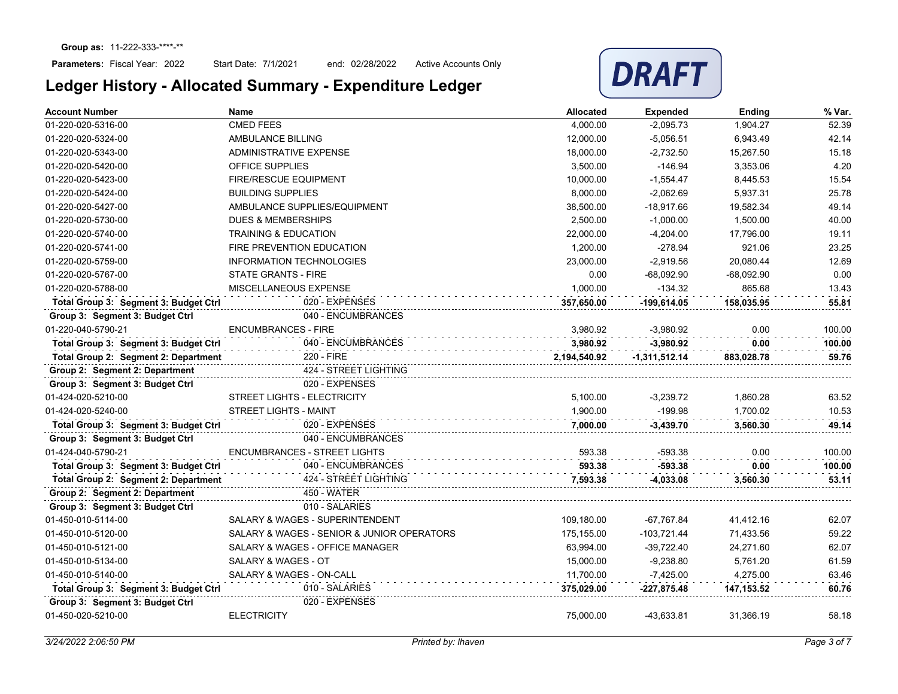Start Date: 7/1/2021 end: 02/28/2022 Active Accounts Only



| <b>Account Number</b>                 | Name                                       | <b>Allocated</b> | <b>Expended</b> | Ending       | % Var. |
|---------------------------------------|--------------------------------------------|------------------|-----------------|--------------|--------|
| 01-220-020-5316-00                    | <b>CMED FEES</b>                           | 4,000.00         | $-2,095.73$     | 1,904.27     | 52.39  |
| 01-220-020-5324-00                    | AMBULANCE BILLING                          | 12,000.00        | $-5,056.51$     | 6,943.49     | 42.14  |
| 01-220-020-5343-00                    | ADMINISTRATIVE EXPENSE                     | 18,000.00        | $-2,732.50$     | 15,267.50    | 15.18  |
| 01-220-020-5420-00                    | <b>OFFICE SUPPLIES</b>                     | 3.500.00         | $-146.94$       | 3.353.06     | 4.20   |
| 01-220-020-5423-00                    | <b>FIRE/RESCUE EQUIPMENT</b>               | 10,000.00        | $-1,554.47$     | 8,445.53     | 15.54  |
| 01-220-020-5424-00                    | <b>BUILDING SUPPLIES</b>                   | 8.000.00         | $-2,062.69$     | 5,937.31     | 25.78  |
| 01-220-020-5427-00                    | AMBULANCE SUPPLIES/EQUIPMENT               | 38,500.00        | $-18,917.66$    | 19,582.34    | 49.14  |
| 01-220-020-5730-00                    | <b>DUES &amp; MEMBERSHIPS</b>              | 2,500.00         | $-1,000.00$     | 1,500.00     | 40.00  |
| 01-220-020-5740-00                    | <b>TRAINING &amp; EDUCATION</b>            | 22,000.00        | $-4,204.00$     | 17,796.00    | 19.11  |
| 01-220-020-5741-00                    | FIRE PREVENTION EDUCATION                  | 1,200.00         | $-278.94$       | 921.06       | 23.25  |
| 01-220-020-5759-00                    | <b>INFORMATION TECHNOLOGIES</b>            | 23,000.00        | $-2,919.56$     | 20.080.44    | 12.69  |
| 01-220-020-5767-00                    | <b>STATE GRANTS - FIRE</b>                 | 0.00             | $-68,092.90$    | $-68,092.90$ | 0.00   |
| 01-220-020-5788-00                    | MISCELLANEOUS EXPENSE                      | 1,000.00         | $-134.32$       | 865.68       | 13.43  |
| Total Group 3: Segment 3: Budget Ctrl | 020 - EXPENSES                             | 357,650.00       | -199.614.05     | 158,035.95   | 55.81  |
| Group 3: Segment 3: Budget Ctrl       | 040 - ENCUMBRANCES                         |                  |                 |              |        |
| 01-220-040-5790-21                    | <b>ENCUMBRANCES - FIRE</b>                 | 3,980.92         | $-3,980.92$     | 0.00         | 100.00 |
| Total Group 3: Segment 3: Budget Ctrl | 040 - ENCUMBRANCES                         | 3,980.92         | $-3,980.92$     | 0.00         | 100.00 |
| Total Group 2: Segment 2: Department  | 220 - FIRE                                 | 2,194,540.92     | $-1,311,512.14$ | 883,028.78   | 59.76  |
| Group 2: Segment 2: Department        | 424 - STREET LIGHTING                      |                  |                 |              |        |
| Group 3: Segment 3: Budget Ctrl       | 020 - EXPENSES                             |                  |                 |              |        |
| 01-424-020-5210-00                    | <b>STREET LIGHTS - ELECTRICITY</b>         | 5,100.00         | $-3,239.72$     | 1,860.28     | 63.52  |
| 01-424-020-5240-00                    | <b>STREET LIGHTS - MAINT</b>               | 1,900.00         | $-199.98$       | 1,700.02     | 10.53  |
| Total Group 3: Segment 3: Budget Ctrl | 020 - EXPENSES                             | 7,000.00         | $-3,439.70$     | 3,560.30     | 49.14  |
| Group 3: Segment 3: Budget Ctrl       | 040 - ENCUMBRANCES                         |                  |                 |              |        |
| 01-424-040-5790-21                    | <b>ENCUMBRANCES - STREET LIGHTS</b>        | 593.38           | -593.38         | 0.00         | 100.00 |
| Total Group 3: Segment 3: Budget Ctrl | 040 - ENCUMBRANCES                         | 593.38           | -593.38         | 0.00         | 100.00 |
| Total Group 2: Segment 2: Department  | 424 - STREET LIGHTING                      | 7,593.38         | -4,033.08       | 3,560.30     | 53.11  |
| Group 2: Segment 2: Department        | 450 - WATER                                |                  |                 |              |        |
| Group 3: Segment 3: Budget Ctrl       | 010 - SALARIES                             |                  |                 |              |        |
| 01-450-010-5114-00                    | SALARY & WAGES - SUPERINTENDENT            | 109,180.00       | -67,767.84      | 41,412.16    | 62.07  |
| 01-450-010-5120-00                    | SALARY & WAGES - SENIOR & JUNIOR OPERATORS | 175,155.00       | $-103,721.44$   | 71,433.56    | 59.22  |
| 01-450-010-5121-00                    | SALARY & WAGES - OFFICE MANAGER            | 63,994.00        | $-39,722.40$    | 24,271.60    | 62.07  |
| 01-450-010-5134-00                    | SALARY & WAGES - OT                        | 15,000.00        | $-9,238.80$     | 5,761.20     | 61.59  |
| 01-450-010-5140-00                    | SALARY & WAGES - ON-CALL                   | 11,700.00        | $-7,425.00$     | 4,275.00     | 63.46  |
| Total Group 3: Segment 3: Budget Ctrl | 010 - SALARIES                             | 375,029.00       | -227,875.48     | 147,153.52   | 60.76  |
| Group 3: Segment 3: Budget Ctrl       | 020 - EXPENSES                             |                  |                 |              |        |
| 01-450-020-5210-00                    | <b>ELECTRICITY</b>                         | 75,000.00        | -43,633.81      | 31,366.19    | 58.18  |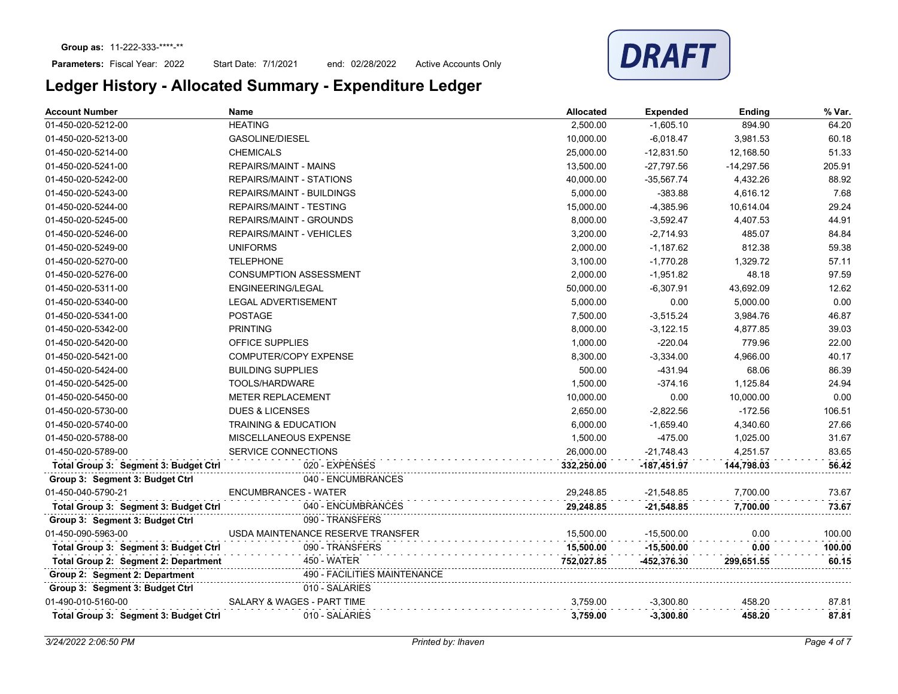Start Date: 7/1/2021 end: 02/28/2022 Active Accounts Only



| <b>Account Number</b>                 | Name                              | <b>Allocated</b> | <b>Expended</b> | Ending       | % Var. |
|---------------------------------------|-----------------------------------|------------------|-----------------|--------------|--------|
| 01-450-020-5212-00                    | <b>HEATING</b>                    | 2,500.00         | $-1,605.10$     | 894.90       | 64.20  |
| 01-450-020-5213-00                    | <b>GASOLINE/DIESEL</b>            | 10,000.00        | $-6,018.47$     | 3,981.53     | 60.18  |
| 01-450-020-5214-00                    | <b>CHEMICALS</b>                  | 25,000.00        | $-12,831.50$    | 12,168.50    | 51.33  |
| 01-450-020-5241-00                    | <b>REPAIRS/MAINT - MAINS</b>      | 13,500.00        | $-27,797.56$    | $-14,297.56$ | 205.91 |
| 01-450-020-5242-00                    | <b>REPAIRS/MAINT - STATIONS</b>   | 40,000.00        | $-35,567.74$    | 4,432.26     | 88.92  |
| 01-450-020-5243-00                    | <b>REPAIRS/MAINT - BUILDINGS</b>  | 5,000.00         | $-383.88$       | 4,616.12     | 7.68   |
| 01-450-020-5244-00                    | <b>REPAIRS/MAINT - TESTING</b>    | 15,000.00        | $-4,385.96$     | 10,614.04    | 29.24  |
| 01-450-020-5245-00                    | REPAIRS/MAINT - GROUNDS           | 8,000.00         | $-3,592.47$     | 4,407.53     | 44.91  |
| 01-450-020-5246-00                    | <b>REPAIRS/MAINT - VEHICLES</b>   | 3,200.00         | $-2,714.93$     | 485.07       | 84.84  |
| 01-450-020-5249-00                    | <b>UNIFORMS</b>                   | 2,000.00         | $-1,187.62$     | 812.38       | 59.38  |
| 01-450-020-5270-00                    | <b>TELEPHONE</b>                  | 3,100.00         | $-1,770.28$     | 1,329.72     | 57.11  |
| 01-450-020-5276-00                    | <b>CONSUMPTION ASSESSMENT</b>     | 2,000.00         | $-1,951.82$     | 48.18        | 97.59  |
| 01-450-020-5311-00                    | ENGINEERING/LEGAL                 | 50,000.00        | $-6,307.91$     | 43,692.09    | 12.62  |
| 01-450-020-5340-00                    | <b>LEGAL ADVERTISEMENT</b>        | 5,000.00         | 0.00            | 5,000.00     | 0.00   |
| 01-450-020-5341-00                    | <b>POSTAGE</b>                    | 7,500.00         | $-3,515.24$     | 3,984.76     | 46.87  |
| 01-450-020-5342-00                    | <b>PRINTING</b>                   | 8,000.00         | $-3,122.15$     | 4,877.85     | 39.03  |
| 01-450-020-5420-00                    | OFFICE SUPPLIES                   | 1,000.00         | $-220.04$       | 779.96       | 22.00  |
| 01-450-020-5421-00                    | <b>COMPUTER/COPY EXPENSE</b>      | 8,300.00         | $-3,334.00$     | 4,966.00     | 40.17  |
| 01-450-020-5424-00                    | <b>BUILDING SUPPLIES</b>          | 500.00           | $-431.94$       | 68.06        | 86.39  |
| 01-450-020-5425-00                    | TOOLS/HARDWARE                    | 1,500.00         | $-374.16$       | 1,125.84     | 24.94  |
| 01-450-020-5450-00                    | <b>METER REPLACEMENT</b>          | 10,000.00        | 0.00            | 10,000.00    | 0.00   |
| 01-450-020-5730-00                    | <b>DUES &amp; LICENSES</b>        | 2,650.00         | $-2,822.56$     | $-172.56$    | 106.51 |
| 01-450-020-5740-00                    | <b>TRAINING &amp; EDUCATION</b>   | 6,000.00         | $-1,659.40$     | 4,340.60     | 27.66  |
| 01-450-020-5788-00                    | MISCELLANEOUS EXPENSE             | 1,500.00         | $-475.00$       | 1,025.00     | 31.67  |
| 01-450-020-5789-00                    | SERVICE CONNECTIONS               | 26,000.00        | $-21,748.43$    | 4,251.57     | 83.65  |
| Total Group 3: Segment 3: Budget Ctrl | 020 - EXPENSES                    | 332,250.00       | -187,451.97     | 144,798.03   | 56.42  |
| Group 3: Segment 3: Budget Ctrl       | 040 - ENCUMBRANCES                |                  |                 |              |        |
| 01-450-040-5790-21                    | <b>ENCUMBRANCES - WATER</b>       | 29,248.85        | $-21,548.85$    | 7,700.00     | 73.67  |
| Total Group 3: Segment 3: Budget Ctrl | 040 - ENCUMBRANCES                | 29,248.85        | $-21,548.85$    | 7,700.00     | 73.67  |
| Group 3: Segment 3: Budget Ctrl       | 090 - TRANSFERS                   |                  |                 |              |        |
| 01-450-090-5963-00                    | USDA MAINTENANCE RESERVE TRANSFER | 15,500.00        | $-15,500.00$    | 0.00         | 100.00 |
| Total Group 3: Segment 3: Budget Ctrl | 090 - TRANSFERS                   | 15,500.00        | $-15,500.00$    | 0.00         | 100.00 |
| Total Group 2: Segment 2: Department  | 450 - WATER                       | 752,027.85       | -452,376.30     | 299,651.55   | 60.15  |
| Group 2: Segment 2: Department        | 490 - FACILITIES MAINTENANCE      |                  |                 |              |        |
| Group 3: Segment 3: Budget Ctrl       | 010 - SALARIES                    |                  |                 |              |        |
| 01-490-010-5160-00                    | SALARY & WAGES - PART TIME        | 3,759.00         | $-3,300.80$     | 458.20       | 87.81  |
| Total Group 3: Segment 3: Budget Ctrl | 010 - SALARIES                    | 3,759.00         | $-3,300.80$     | 458.20       | 87.81  |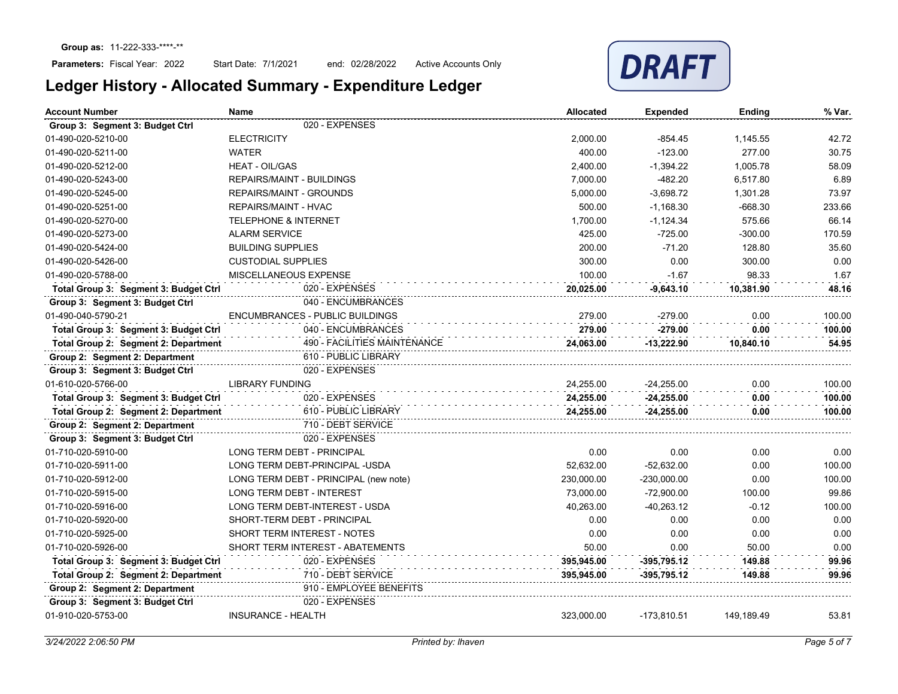Start Date: 7/1/2021 end: 02/28/2022 Active Accounts Only



| <b>Account Number</b><br><b>Name</b>                   |                                       | <b>Allocated</b> | <b>Expended</b> | <b>Ending</b> | % Var. |
|--------------------------------------------------------|---------------------------------------|------------------|-----------------|---------------|--------|
| Group 3: Segment 3: Budget Ctrl                        | 020 - EXPENSES                        |                  |                 |               |        |
| 01-490-020-5210-00                                     | <b>ELECTRICITY</b>                    | 2,000.00         | -854.45         | 1,145.55      | 42.72  |
| 01-490-020-5211-00                                     | <b>WATER</b>                          | 400.00           | $-123.00$       | 277.00        | 30.75  |
| 01-490-020-5212-00                                     | <b>HEAT - OIL/GAS</b>                 | 2,400.00         | $-1,394.22$     | 1,005.78      | 58.09  |
| 01-490-020-5243-00                                     | <b>REPAIRS/MAINT - BUILDINGS</b>      | 7,000.00         | $-482.20$       | 6,517.80      | 6.89   |
| 01-490-020-5245-00                                     | <b>REPAIRS/MAINT - GROUNDS</b>        | 5,000.00         | $-3,698.72$     | 1,301.28      | 73.97  |
| 01-490-020-5251-00                                     | REPAIRS/MAINT - HVAC                  | 500.00           | $-1,168.30$     | $-668.30$     | 233.66 |
| 01-490-020-5270-00                                     | <b>TELEPHONE &amp; INTERNET</b>       | 1,700.00         | $-1,124.34$     | 575.66        | 66.14  |
| 01-490-020-5273-00                                     | <b>ALARM SERVICE</b>                  | 425.00           | $-725.00$       | $-300.00$     | 170.59 |
| 01-490-020-5424-00                                     | <b>BUILDING SUPPLIES</b>              | 200.00           | $-71.20$        | 128.80        | 35.60  |
| 01-490-020-5426-00                                     | <b>CUSTODIAL SUPPLIES</b>             | 300.00           | 0.00            | 300.00        | 0.00   |
| 01-490-020-5788-00                                     | MISCELLANEOUS EXPENSE                 | 100.00           | $-1.67$         | 98.33         | 1.67   |
| Total Group 3: Segment 3: Budget Ctrl                  | 020 - EXPENSES                        | 20.025.00        | $-9,643.10$     | 10,381.90     | 48.16  |
| Group 3: Segment 3: Budget Ctrl                        | 040 - ENCUMBRANCES                    |                  |                 |               |        |
| 01-490-040-5790-21                                     | ENCUMBRANCES - PUBLIC BUILDINGS       | 279.00           | $-279.00$       | 0.00          | 100.00 |
| Total Group 3: Segment 3: Budget Ctrl                  | 040 - ENCUMBRANCES                    | 279.00           | $-279.00$       | 0.00          | 100.00 |
| Total Group 2: Segment 2: Department                   | 490 - FACILITIES MAINTENANCE          | 24,063.00        | $-13,222.90$    | 10,840.10     | 54.95  |
| Group 2: Segment 2: Department<br>610 - PUBLIC LIBRARY |                                       |                  |                 |               |        |
| Group 3: Segment 3: Budget Ctrl                        | 020 - EXPENSES                        |                  |                 |               |        |
| 01-610-020-5766-00                                     | <b>LIBRARY FUNDING</b>                | 24,255.00        | $-24,255.00$    | 0.00          | 100.00 |
| Total Group 3: Segment 3: Budget Ctrl                  | 020 - EXPENSES                        | 24,255.00        | $-24,255.00$    | 0.00          | 100.00 |
| Total Group 2: Segment 2: Department                   | 610 - PUBLIC LIBRARY                  | 24,255.00        | $-24,255.00$    | 0.00          | 100.00 |
| Group 2: Segment 2: Department                         | 710 - DEBT SERVICE                    |                  |                 |               |        |
| Group 3: Segment 3: Budget Ctrl                        | 020 - EXPENSES                        |                  |                 |               |        |
| 01-710-020-5910-00                                     | <b>LONG TERM DEBT - PRINCIPAL</b>     | 0.00             | 0.00            | 0.00          | 0.00   |
| 01-710-020-5911-00                                     | LONG TERM DEBT-PRINCIPAL -USDA        | 52,632.00        | $-52,632.00$    | 0.00          | 100.00 |
| 01-710-020-5912-00                                     | LONG TERM DEBT - PRINCIPAL (new note) | 230.000.00       | $-230,000.00$   | 0.00          | 100.00 |
| 01-710-020-5915-00                                     | <b>LONG TERM DEBT - INTEREST</b>      | 73,000.00        | $-72,900.00$    | 100.00        | 99.86  |
| 01-710-020-5916-00                                     | LONG TERM DEBT-INTEREST - USDA        | 40.263.00        | $-40.263.12$    | $-0.12$       | 100.00 |
| 01-710-020-5920-00                                     | SHORT-TERM DEBT - PRINCIPAL           | 0.00             | 0.00            | 0.00          | 0.00   |
| 01-710-020-5925-00                                     | SHORT TERM INTEREST - NOTES           | 0.00             | 0.00            | 0.00          | 0.00   |
| 01-710-020-5926-00                                     | SHORT TERM INTEREST - ABATEMENTS      | 50.00            | 0.00            | 50.00         | 0.00   |
| Total Group 3: Segment 3: Budget Ctrl                  | 020 - EXPENSES                        | 395,945.00       | $-395,795.12$   | 149.88        | 99.96  |
| Total Group 2: Segment 2: Department                   | 710 - DEBT SERVICE                    | 395,945.00       | -395,795.12     | 149.88        | 99.96  |
| Group 2: Segment 2: Department                         | 910 - EMPLOYEE BENEFITS               |                  |                 |               |        |
| Group 3: Segment 3: Budget Ctrl                        | 020 - EXPENSES                        |                  |                 |               |        |
| 01-910-020-5753-00                                     | <b>INSURANCE - HEALTH</b>             | 323,000.00       | $-173,810.51$   | 149,189.49    | 53.81  |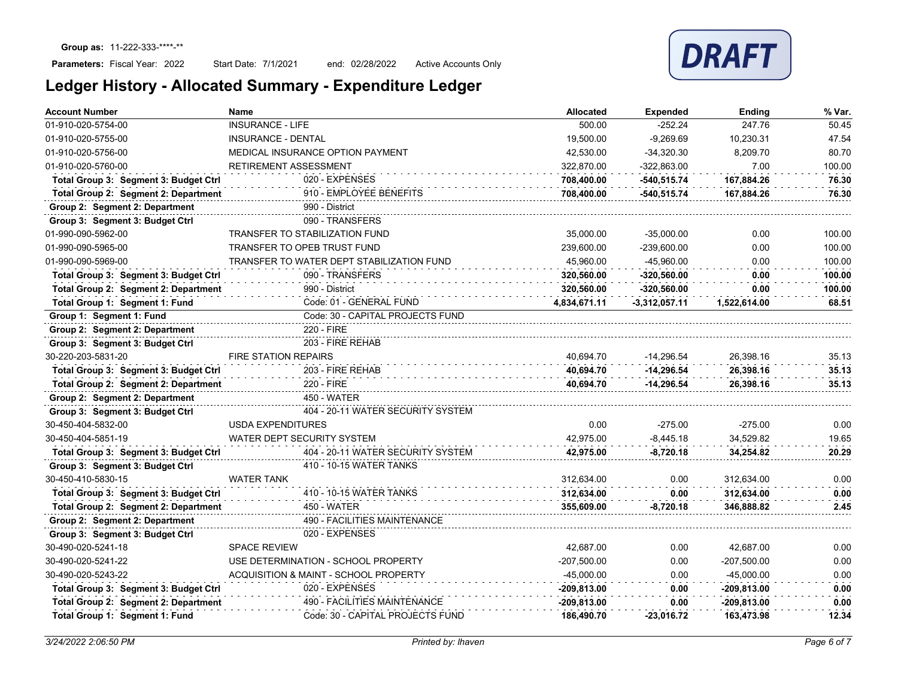Start Date: 7/1/2021 end: 02/28/2022 Active Accounts Only

| Ledger History - Allocated Summary - Expenditure Ledger |  |  |  |
|---------------------------------------------------------|--|--|--|
|                                                         |  |  |  |

| <b>Account Number</b>                 | Name                                      | <b>Allocated</b> | <b>Expended</b> | Ending        | % Var. |
|---------------------------------------|-------------------------------------------|------------------|-----------------|---------------|--------|
| 01-910-020-5754-00                    | <b>INSURANCE - LIFE</b>                   | 500.00           | $-252.24$       | 247.76        | 50.45  |
| 01-910-020-5755-00                    | INSURANCE - DENTAL                        | 19,500.00        | $-9,269.69$     | 10,230.31     | 47.54  |
| 01-910-020-5756-00                    | MEDICAL INSURANCE OPTION PAYMENT          | 42,530.00        | $-34,320.30$    | 8,209.70      | 80.70  |
| 01-910-020-5760-00                    | RETIREMENT ASSESSMENT                     | 322,870.00       | $-322,863.00$   | 7.00          | 100.00 |
| Total Group 3: Segment 3: Budget Ctrl | 020 - EXPENSES                            | 708,400.00       | $-540,515.74$   | 167,884.26    | 76.30  |
| Total Group 2: Segment 2: Department  | 910 - EMPLOYEE BENEFITS                   | 708,400.00       | -540,515.74     | 167,884.26    | 76.30  |
| Group 2: Segment 2: Department        | 990 - District                            |                  |                 |               |        |
| Group 3: Segment 3: Budget Ctrl       | 090 - TRANSFERS                           |                  |                 |               |        |
| 01-990-090-5962-00                    | <b>TRANSFER TO STABILIZATION FUND</b>     | 35,000.00        | $-35,000.00$    | 0.00          | 100.00 |
| 01-990-090-5965-00                    | <b>TRANSFER TO OPEB TRUST FUND</b>        | 239,600.00       | $-239,600.00$   | 0.00          | 100.00 |
| 01-990-090-5969-00                    | TRANSFER TO WATER DEPT STABILIZATION FUND | 45,960.00        | -45,960.00      | 0.00          | 100.00 |
| Total Group 3: Segment 3: Budget Ctrl | 090 - TRANSFERS                           | 320,560.00       | $-320,560.00$   | 0.00          | 100.00 |
| Total Group 2: Segment 2: Department  | 990 - District                            | 320,560.00       | $-320,560.00$   | 0.00          | 100.00 |
| Total Group 1: Segment 1: Fund        | Code: 01 - GENERAL FUND                   | 4,834,671.11     | $-3,312,057.11$ | 1,522,614.00  | 68.51  |
| Group 1: Segment 1: Fund              | Code: 30 - CAPITAL PROJECTS FUND          |                  |                 |               |        |
| Group 2: Segment 2: Department        | 220 - FIRE                                |                  |                 |               |        |
| Group 3: Segment 3: Budget Ctrl       | 203 - FIRE REHAB                          |                  |                 |               |        |
| 30-220-203-5831-20                    | <b>FIRE STATION REPAIRS</b>               | 40.694.70        | $-14.296.54$    | 26.398.16     | 35.13  |
| Total Group 3: Segment 3: Budget Ctrl | 203 - FIRE REHAB                          | 40.694.70        | $-14.296.54$    | 26.398.16     | 35.13  |
| Total Group 2: Segment 2: Department  | 220 - FIRE                                | 40.694.70        | $-14.296.54$    | 26.398.16     | 35.13  |
| Group 2: Segment 2: Department        | 450 - WATER                               |                  |                 |               |        |
| Group 3: Segment 3: Budget Ctrl       | 404 - 20-11 WATER SECURITY SYSTEM         |                  |                 |               |        |
| 30-450-404-5832-00                    | <b>USDA EXPENDITURES</b>                  | 0.00             | $-275.00$       | $-275.00$     | 0.00   |
| 30-450-404-5851-19                    | WATER DEPT SECURITY SYSTEM                | 42.975.00        | $-8,445.18$     | 34,529.82     | 19.65  |
| Total Group 3: Segment 3: Budget Ctrl | 404 - 20-11 WATER SECURITY SYSTEM         | 42,975.00        | $-8,720.18$     | 34,254.82     | 20.29  |
| Group 3: Segment 3: Budget Ctrl       | 410 - 10-15 WATER TANKS                   |                  |                 |               |        |
| 30-450-410-5830-15                    | <b>WATER TANK</b>                         | 312.634.00       | 0.00            | 312.634.00    | 0.00   |
| Total Group 3: Segment 3: Budget Ctrl | 410 - 10-15 WATER TANKS                   | 312.634.00       | 0.00            | 312.634.00    | 0.00   |
| Total Group 2: Segment 2: Department  | 450 - WATER                               | 355,609.00       | $-8,720.18$     | 346.888.82    | 2.45   |
| Group 2: Segment 2: Department        | <b>490 - FACILITIES MAINTENANCE</b>       |                  |                 |               |        |
| Group 3: Segment 3: Budget Ctrl       | 020 - EXPENSES                            |                  |                 |               |        |
| 30-490-020-5241-18                    | <b>SPACE REVIEW</b>                       | 42,687.00        | 0.00            | 42,687.00     | 0.00   |
| 30-490-020-5241-22                    | USE DETERMINATION - SCHOOL PROPERTY       | -207,500.00      | 0.00            | $-207,500.00$ | 0.00   |
| 30-490-020-5243-22                    | ACQUISITION & MAINT - SCHOOL PROPERTY     | $-45,000.00$     | 0.00            | -45,000.00    | 0.00   |
| Total Group 3: Segment 3: Budget Ctrl | 020 - EXPENSES                            | $-209,813.00$    | 0.00            | $-209,813.00$ | 0.00   |
| Total Group 2: Segment 2: Department  | 490 - FACILITIES MAINTENANCE              | -209,813.00      | 0.00            | -209,813.00   | 0.00   |
| Total Group 1: Segment 1: Fund        | Code: 30 - CAPITAL PROJECTS FUND          | 186.490.70       | $-23.016.72$    | 163.473.98    | 12.34  |